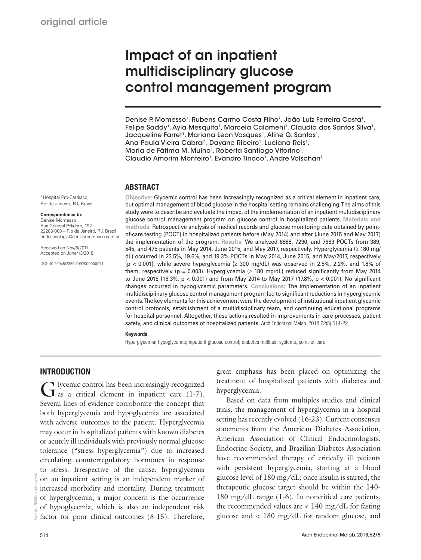# Impact of an inpatient multidisciplinary glucose control management program

Denise P. Momesso<sup>1</sup>, Rubens Carmo Costa Filho<sup>1</sup>, João Luiz Ferreira Costa<sup>1</sup>, Felipe Saddy<sup>1</sup>, Ayla Mesquita<sup>1</sup>, Marcela Calomeni<sup>1</sup>, Claudia dos Santos Silva<sup>1</sup>, Jacqueline Farret<sup>1</sup>, Mariana Leon Vasques<sup>1</sup>, Aline G. Santos<sup>1</sup>, Ana Paula Vieira Cabral<sup>1</sup>, Dayane Ribeiro<sup>1</sup>, Luciana Reis<sup>1</sup>, Maria de Fátima M. Muino<sup>1</sup>, Roberta Santiago Vitorino<sup>1</sup>, Claudio Amorim Monteiro<sup>1</sup>, Evandro Tinoco<sup>1</sup>, Andre Volschan<sup>1</sup>

# ABSTRACT

1 Hospital Pró-Cardíaco, Rio de Janeiro, RJ, Brasil

#### **Correspondence to:**

Denise Momesso Rua General Polidoro, 192 22280-003 – Rio de Janeiro, RJ, Brazil endocrinologia@denisemomesso.com.br

Received on Nov/8/2017 Accepted on June/13/2018

DOI: 10.20945/2359-3997000000071

**Objective:** Glycemic control has been increasingly recognized as a critical element in inpatient care, but optimal management of blood glucose in the hospital setting remains challenging. The aims of this study were to describe and evaluate the impact of the implementation of an inpatient multidisciplinary glucose control management program on glucose control in hospitalized patients. **Materials and methods:** Retrospective analysis of medical records and glucose monitoring data obtained by pointof-care testing (POCT) in hospitalized patients before (May 2014) and after (June 2015 and May 2017) the implementation of the program. **Results:** We analyzed 6888, 7290, and 7669 POCTs from 389, 545, and 475 patients in May 2014, June 2015, and May 2017, respectively. Hyperglycemia (≥ 180 mg/ dL) occurred in 23.5%, 19.6%, and 19.3% POCTs in May 2014, June 2015, and May/2017, respectively (p < 0.001), while severe hyperglycemia ( $\geq$  300 mg/dL) was observed in 2.5%, 2.2%, and 1.8% of them, respectively (p = 0.003). Hyperglycemia ( $\geq$  180 mg/dL) reduced significantly from May 2014 to June 2015 (16.3%, p < 0.001) and from May 2014 to May 2017 (17.8%, p < 0.001). No significant changes occurred in hypoglycemic parameters. **Conclusions:** The implementation of an inpatient multidisciplinary glucose control management program led to significant reductions in hyperglycemic events. The key elements for this achievement were the development of institutional inpatient glycemic control protocols, establishment of a multidisciplinary team, and continuing educational programs for hospital personnel. Altogether, these actions resulted in improvements in care processes, patient safety, and clinical outcomes of hospitalized patients. Arch Endocrinol Metab. 2018;62(5):514-22

#### Keywords

Hyperglycemia; hypoglycemia; inpatient glucose control; diabetes mellitus; systems, point-of-care

# **INTRODUCTION**

G lycemic control has been increasingly recognized as a critical element in inpatient care  $(1-7)$ . Several lines of evidence corroborate the concept that both hyperglycemia and hypoglycemia are associated with adverse outcomes to the patient. Hyperglycemia may occur in hospitalized patients with known diabetes or acutely ill individuals with previously normal glucose tolerance ("stress hyperglycemia") due to increased circulating counterregulatory hormones in response to stress. Irrespective of the cause, hyperglycemia on an inpatient setting is an independent marker of increased morbidity and mortality. During treatment of hyperglycemia, a major concern is the occurrence of hypoglycemia, which is also an independent risk factor for poor clinical outcomes (8-15). Therefore,

great emphasis has been placed on optimizing the treatment of hospitalized patients with diabetes and hyperglycemia.

Based on data from multiples studies and clinical trials, the management of hyperglycemia in a hospital setting has recently evolved (16-23). Current consensus statements from the American Diabetes Association, American Association of Clinical Endocrinologists, Endocrine Society, and Brazilian Diabetes Association have recommended therapy of critically ill patients with persistent hyperglycemia, starting at a blood glucose level of 180 mg/dL; once insulin is started, the therapeutic glucose target should be within the 140- 180 mg/dL range (1-6). In noncritical care patients, the recommended values are  $\langle 140 \text{ mg/dL} \rangle$  for fasting glucose and < 180 mg/dL for random glucose, and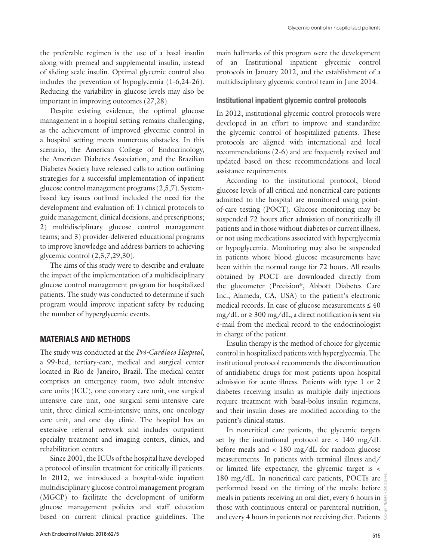the preferable regimen is the use of a basal insulin along with premeal and supplemental insulin, instead of sliding scale insulin. Optimal glycemic control also includes the prevention of hypoglycemia (1-6,24-26). Reducing the variability in glucose levels may also be important in improving outcomes (27,28).

Despite existing evidence, the optimal glucose management in a hospital setting remains challenging, as the achievement of improved glycemic control in a hospital setting meets numerous obstacles. In this scenario, the American College of Endocrinology, the American Diabetes Association, and the Brazilian Diabetes Society have released calls to action outlining strategies for a successful implementation of inpatient glucose control management programs (2,5,7). Systembased key issues outlined included the need for the development and evaluation of: 1) clinical protocols to guide management, clinical decisions, and prescriptions; 2) multidisciplinary glucose control management teams; and 3) provider-delivered educational programs to improve knowledge and address barriers to achieving glycemic control (2,5,7,29,30).

The aims of this study were to describe and evaluate the impact of the implementation of a multidisciplinary glucose control management program for hospitalized patients. The study was conducted to determine if such program would improve inpatient safety by reducing the number of hyperglycemic events.

#### MATERIALS AND METHODS

The study was conducted at the *Pró-Cardíaco Hospital*, a 99-bed, tertiary-care, medical and surgical center located in Rio de Janeiro, Brazil. The medical center comprises an emergency room, two adult intensive care units (ICU), one coronary care unit, one surgical intensive care unit, one surgical semi-intensive care unit, three clinical semi-intensive units, one oncology care unit, and one day clinic. The hospital has an extensive referral network and includes outpatient specialty treatment and imaging centers, clinics, and rehabilitation centers.

Since 2001, the ICUs of the hospital have developed a protocol of insulin treatment for critically ill patients. In 2012, we introduced a hospital-wide inpatient multidisciplinary glucose control management program (MGCP) to facilitate the development of uniform glucose management policies and staff education based on current clinical practice guidelines. The main hallmarks of this program were the development of an Institutional inpatient glycemic control protocols in January 2012, and the establishment of a multidisciplinary glycemic control team in June 2014.

#### Institutional inpatient glycemic control protocols

In 2012, institutional glycemic control protocols were developed in an effort to improve and standardize the glycemic control of hospitalized patients. These protocols are aligned with international and local recommendations (2-6) and are frequently revised and updated based on these recommendations and local assistance requirements.

According to the institutional protocol, blood glucose levels of all critical and noncritical care patients admitted to the hospital are monitored using pointof-care testing (POCT). Glucose monitoring may be suspended 72 hours after admission of noncritically ill patients and in those without diabetes or current illness, or not using medications associated with hyperglycemia or hypoglycemia. Monitoring may also be suspended in patients whose blood glucose measurements have been within the normal range for 72 hours. All results obtained by POCT are downloaded directly from the glucometer (Precision®, Abbott Diabetes Care Inc., Alameda, CA, USA) to the patient's electronic medical records. In case of glucose measurements  $\leq 40$ mg/dL or  $\geq$  300 mg/dL, a direct notification is sent via e-mail from the medical record to the endocrinologist in charge of the patient.

Insulin therapy is the method of choice for glycemic control in hospitalized patients with hyperglycemia. The institutional protocol recommends the discontinuation of antidiabetic drugs for most patients upon hospital admission for acute illness. Patients with type 1 or 2 diabetes receiving insulin as multiple daily injections require treatment with basal-bolus insulin regimens, and their insulin doses are modified according to the patient's clinical status.

In noncritical care patients, the glycemic targets set by the institutional protocol are  $\langle$  140 mg/dL before meals and < 180 mg/dL for random glucose measurements. In patients with terminal illness and/ or limited life expectancy, the glycemic target is < 180 mg/dL. In noncritical care patients, POCTs are performed based on the timing of the meals: before meals in patients receiving an oral diet, every 6 hours in those with continuous enteral or parenteral nutrition, and every 4 hours in patients not receiving diet. Patients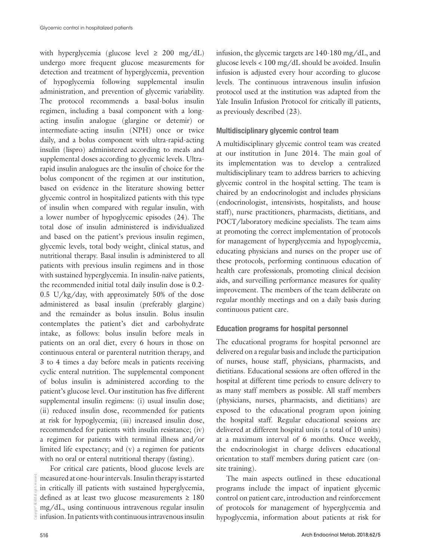with hyperglycemia (glucose level  $\geq 200$  mg/dL) undergo more frequent glucose measurements for detection and treatment of hyperglycemia, prevention of hypoglycemia following supplemental insulin administration, and prevention of glycemic variability. The protocol recommends a basal-bolus insulin regimen, including a basal component with a longacting insulin analogue (glargine or detemir) or intermediate-acting insulin (NPH) once or twice daily, and a bolus component with ultra-rapid-acting insulin (lispro) administered according to meals and supplemental doses according to glycemic levels. Ultrarapid insulin analogues are the insulin of choice for the bolus component of the regimen at our institution, based on evidence in the literature showing better glycemic control in hospitalized patients with this type of insulin when compared with regular insulin, with a lower number of hypoglycemic episodes (24). The total dose of insulin administered is individualized and based on the patient's previous insulin regimen, glycemic levels, total body weight, clinical status, and nutritional therapy. Basal insulin is administered to all patients with previous insulin regimens and in those with sustained hyperglycemia. In insulin-naïve patients, the recommended initial total daily insulin dose is 0.2- 0.5 U/kg/day, with approximately 50% of the dose administered as basal insulin (preferably glargine) and the remainder as bolus insulin. Bolus insulin contemplates the patient's diet and carbohydrate intake, as follows: bolus insulin before meals in patients on an oral diet, every 6 hours in those on continuous enteral or parenteral nutrition therapy, and 3 to 4 times a day before meals in patients receiving cyclic enteral nutrition. The supplemental component of bolus insulin is administered according to the patient's glucose level. Our institution has five different supplemental insulin regimens: (i) usual insulin dose; (ii) reduced insulin dose, recommended for patients at risk for hypoglycemia; (iii) increased insulin dose, recommended for patients with insulin resistance; (iv) a regimen for patients with terminal illness and/or limited life expectancy; and (v) a regimen for patients with no oral or enteral nutritional therapy (fasting).

For critical care patients, blood glucose levels are measured at one-hour intervals. Insulin therapy is started in critically ill patients with sustained hyperglycemia, defined as at least two glucose measurements ≥ 180 mg/dL, using continuous intravenous regular insulin infusion. In patients with continuous intravenous insulin

infusion, the glycemic targets are 140-180 mg/dL, and glucose levels < 100 mg/dL should be avoided. Insulin infusion is adjusted every hour according to glucose levels. The continuous intravenous insulin infusion protocol used at the institution was adapted from the Yale Insulin Infusion Protocol for critically ill patients, as previously described (23).

#### Multidisciplinary glycemic control team

A multidisciplinary glycemic control team was created at our institution in June 2014. The main goal of its implementation was to develop a centralized multidisciplinary team to address barriers to achieving glycemic control in the hospital setting. The team is chaired by an endocrinologist and includes physicians (endocrinologist, intensivists, hospitalists, and house staff), nurse practitioners, pharmacists, dietitians, and POCT/laboratory medicine specialists. The team aims at promoting the correct implementation of protocols for management of hyperglycemia and hypoglycemia, educating physicians and nurses on the proper use of these protocols, performing continuous education of health care professionals, promoting clinical decision aids, and surveilling performance measures for quality improvement. The members of the team deliberate on regular monthly meetings and on a daily basis during continuous patient care.

# Education programs for hospital personnel

The educational programs for hospital personnel are delivered on a regular basis and include the participation of nurses, house staff, physicians, pharmacists, and dietitians. Educational sessions are often offered in the hospital at different time periods to ensure delivery to as many staff members as possible. All staff members (physicians, nurses, pharmacists, and dietitians) are exposed to the educational program upon joining the hospital staff. Regular educational sessions are delivered at different hospital units (a total of 10 units) at a maximum interval of 6 months. Once weekly, the endocrinologist in charge delivers educational orientation to staff members during patient care (onsite training).

The main aspects outlined in these educational programs include the impact of inpatient glycemic control on patient care, introduction and reinforcement of protocols for management of hyperglycemia and hypoglycemia, information about patients at risk for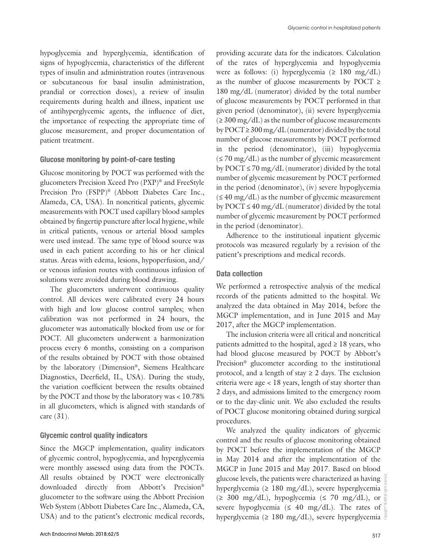hypoglycemia and hyperglycemia, identification of signs of hypoglycemia, characteristics of the different types of insulin and administration routes (intravenous or subcutaneous for basal insulin administration, prandial or correction doses), a review of insulin requirements during health and illness, inpatient use of antihyperglycemic agents, the influence of diet, the importance of respecting the appropriate time of glucose measurement, and proper documentation of patient treatment.

# Glucose monitoring by point-of-care testing

Glucose monitoring by POCT was performed with the glucometers Precision Xceed Pro (PXP)® and FreeStyle Precision Pro (FSPP)® (Abbott Diabetes Care Inc., Alameda, CA, USA). In noncritical patients, glycemic measurements with POCT used capillary blood samples obtained by fingertip puncture after local hygiene, while in critical patients, venous or arterial blood samples were used instead. The same type of blood source was used in each patient according to his or her clinical status. Areas with edema, lesions, hypoperfusion, and/ or venous infusion routes with continuous infusion of solutions were avoided during blood drawing.

The glucometers underwent continuous quality control. All devices were calibrated every 24 hours with high and low glucose control samples; when calibration was not performed in 24 hours, the glucometer was automatically blocked from use or for POCT. All glucometers underwent a harmonization process every 6 months, consisting on a comparison of the results obtained by POCT with those obtained by the laboratory (Dimension®, Siemens Healthcare Diagnostics, Deerfield, IL, USA). During the study, the variation coefficient between the results obtained by the POCT and those by the laboratory was < 10.78% in all glucometers, which is aligned with standards of care (31).

#### Glycemic control quality indicators

Since the MGCP implementation, quality indicators of glycemic control, hypoglycemia, and hyperglycemia were monthly assessed using data from the POCTs. All results obtained by POCT were electronically downloaded directly from Abbott's Precision® glucometer to the software using the Abbott Precision Web System (Abbott Diabetes Care Inc., Alameda, CA, USA) and to the patient's electronic medical records, providing accurate data for the indicators. Calculation of the rates of hyperglycemia and hypoglycemia were as follows: (i) hyperglycemia ( $\geq 180$  mg/dL) as the number of glucose measurements by POCT  $\geq$ 180 mg/dL (numerator) divided by the total number of glucose measurements by POCT performed in that given period (denominator), (ii) severe hyperglycemia  $(≥ 300 mg/dL)$  as the number of glucose measurements by POCT  $\geq$  300 mg/dL (numerator) divided by the total number of glucose measurements by POCT performed in the period (denominator), (iii) hypoglycemia (≤ 70 mg/dL) as the number of glycemic measurement by POCT  $\leq$  70 mg/dL (numerator) divided by the total number of glycemic measurement by POCT performed in the period (denominator), (iv) severe hypoglycemia  $($  ≤ 40 mg/dL) as the number of glycemic measurement by POCT  $\leq$  40 mg/dL (numerator) divided by the total number of glycemic measurement by POCT performed in the period (denominator).

Adherence to the institutional inpatient glycemic protocols was measured regularly by a revision of the patient's prescriptions and medical records.

#### Data collection

We performed a retrospective analysis of the medical records of the patients admitted to the hospital. We analyzed the data obtained in May 2014, before the MGCP implementation, and in June 2015 and May 2017, after the MGCP implementation.

The inclusion criteria were all critical and noncritical patients admitted to the hospital, aged  $\geq 18$  years, who had blood glucose measured by POCT by Abbott's Precision® glucometer according to the institutional protocol, and a length of stay  $\geq 2$  days. The exclusion criteria were age < 18 years, length of stay shorter than 2 days, and admissions limited to the emergency room or to the day-clinic unit. We also excluded the results of POCT glucose monitoring obtained during surgical procedures.

We analyzed the quality indicators of glycemic control and the results of glucose monitoring obtained by POCT before the implementation of the MGCP in May 2014 and after the implementation of the MGCP in June 2015 and May 2017. Based on blood glucose levels, the patients were characterized as having hyperglycemia (≥ 180 mg/dL), severe hyperglycemia  $(\geq 300 \text{ mg/dL})$ , hypoglycemia  $(\leq 70 \text{ mg/dL})$ , or severe hypoglycemia ( $\leq 40$  mg/dL). The rates of hyperglycemia ( $\geq 180$  mg/dL), severe hyperglycemia  $\frac{8}{3}$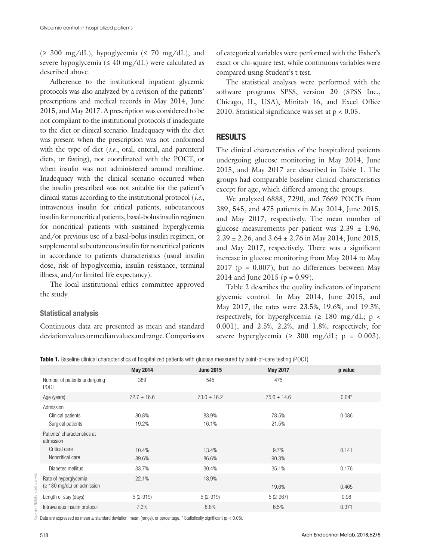$(\geq 300 \text{ mg/dL})$ , hypoglycemia  $(\leq 70 \text{ mg/dL})$ , and severe hypoglycemia ( $\leq 40$  mg/dL) were calculated as described above.

Adherence to the institutional inpatient glycemic protocols was also analyzed by a revision of the patients' prescriptions and medical records in May 2014, June 2015, and May 2017. A prescription was considered to be not compliant to the institutional protocols if inadequate to the diet or clinical scenario. Inadequacy with the diet was present when the prescription was not conformed with the type of diet (*i.e*., oral, enteral, and parenteral diets, or fasting), not coordinated with the POCT, or when insulin was not administered around mealtime. Inadequacy with the clinical scenario occurred when the insulin prescribed was not suitable for the patient's clinical status according to the institutional protocol (*i.e.*, intravenous insulin for critical patients, subcutaneous insulin for noncritical patients, basal-bolus insulin regimen for noncritical patients with sustained hyperglycemia and/or previous use of a basal-bolus insulin regimen, or supplemental subcutaneous insulin for noncritical patients in accordance to patients characteristics (usual insulin dose, risk of hypoglycemia, insulin resistance, terminal illness, and/or limited life expectancy).

The local institutional ethics committee approved the study.

# Statistical analysis

Continuous data are presented as mean and standard deviation values or median values and range. Comparisons of categorical variables were performed with the Fisher's exact or chi-square test, while continuous variables were compared using Student's t test.

The statistical analyses were performed with the software programs SPSS, version 20 (SPSS Inc., Chicago, IL, USA), Minitab 16, and Excel Office 2010. Statistical significance was set at p < 0.05.

# RESULTS

The clinical characteristics of the hospitalized patients undergoing glucose monitoring in May 2014, June 2015, and May 2017 are described in Table 1. The groups had comparable baseline clinical characteristics except for age, which differed among the groups.

We analyzed 6888, 7290, and 7669 POCTs from 389, 545, and 475 patients in May 2014, June 2015, and May 2017, respectively. The mean number of glucose measurements per patient was  $2.39 \pm 1.96$ ,  $2.39 \pm 2.26$ , and  $3.64 \pm 2.76$  in May 2014, June 2015, and May 2017, respectively. There was a significant increase in glucose monitoring from May 2014 to May  $2017$  (p = 0.007), but no differences between May 2014 and June 2015 ( $p = 0.99$ ).

Table 2 describes the quality indicators of inpatient glycemic control. In May 2014, June 2015, and May 2017, the rates were 23.5%, 19.6%, and 19.3%, respectively, for hyperglycemia ( $\geq 180$  mg/dL; p < 0.001), and 2.5%, 2.2%, and 1.8%, respectively, for severe hyperglycemia ( $\geq 300$  mg/dL;  $p = 0.003$ ).

Table 1. Baseline clinical characteristics of hospitalized patients with glucose measured by point-of-care testing (POCT)

|                                                                                | <b>May 2014</b> | <b>June 2015</b> | <b>May 2017</b> | p value |
|--------------------------------------------------------------------------------|-----------------|------------------|-----------------|---------|
| Number of patients undergoing<br><b>POCT</b>                                   | 389             | 545              | 475             |         |
| Age (years)                                                                    | $72.7 \pm 16.6$ | $73.0 \pm 16.2$  | $75.6 \pm 14.6$ | $0.04*$ |
| Admission<br>Clinical patients<br>Surgical patients                            | 80.8%<br>19.2%  | 83.9%<br>16.1%   | 78.5%<br>21.5%  | 0.086   |
| Patients' characteristics at<br>admission<br>Critical care<br>Noncritical care | 10.4%<br>89.6%  | 13.4%<br>86.6%   | 9.7%<br>90.3%   | 0.141   |
| Diabetes mellitus                                                              | 33.7%           | 30.4%            | 35.1%           | 0.176   |
| Rate of hyperglycemia<br>$(\geq 180 \text{ mg/dL})$ on admission               | 22.1%           | 18.9%            | 19.6%           | 0.465   |
| Length of stay (days)                                                          | $5(2-919)$      | $5(2-919)$       | $5(2-967)$      | 0.98    |
| Intravenous insulin protocol                                                   | 7.3%            | 8.8%             | 6.5%            | 0.371   |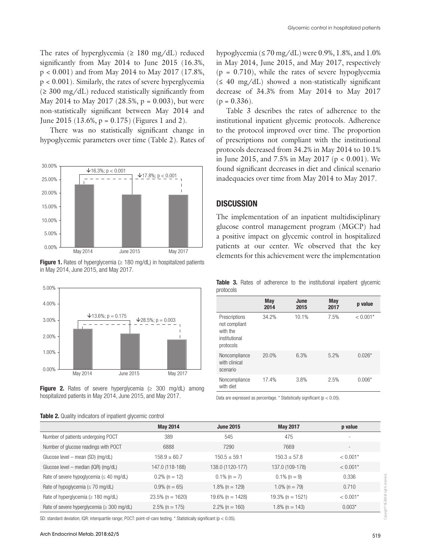The rates of hyperglycemia ( $\geq 180$  mg/dL) reduced significantly from May 2014 to June 2015 (16.3%, p < 0.001) and from May 2014 to May 2017 (17.8%, p < 0.001). Similarly, the rates of severe hyperglycemia  $(≥ 300 mg/dL)$  reduced statistically significantly from May 2014 to May 2017 (28.5%,  $p = 0.003$ ), but were non-statistically significant between May 2014 and June 2015 (13.6%,  $p = 0.175$ ) (Figures 1 and 2).

There was no statistically significant change in hypoglycemic parameters over time (Table 2). Rates of









Table 2. Quality indicators of inpatient glycemic control

hypoglycemia ( $\leq$  70 mg/dL) were 0.9%, 1.8%, and 1.0% in May 2014, June 2015, and May 2017, respectively  $(p = 0.710)$ , while the rates of severe hypoglycemia  $(≤ 40 mg/dL)$  showed a non-statistically significant decrease of 34.3% from May 2014 to May 2017  $(p = 0.336)$ .

Table 3 describes the rates of adherence to the institutional inpatient glycemic protocols. Adherence to the protocol improved over time. The proportion of prescriptions not compliant with the institutional protocols decreased from 34.2% in May 2014 to 10.1% in June 2015, and 7.5% in May 2017 (p < 0.001). We found significant decreases in diet and clinical scenario inadequacies over time from May 2014 to May 2017.

# **DISCUSSION**

The implementation of an inpatient multidisciplinary glucose control management program (MGCP) had a positive impact on glycemic control in hospitalized patients at our center. We observed that the key elements for this achievement were the implementation

Table 3. Rates of adherence to the institutional inpatient glycemic protocols

|                                                                          | May<br>2014 | June<br>2015 | May<br>2017 | p value    |
|--------------------------------------------------------------------------|-------------|--------------|-------------|------------|
| Prescriptions<br>not compliant<br>with the<br>institutional<br>protocols | 34.2%       | 10.1%        | 7.5%        | $< 0.001*$ |
| Noncompliance<br>with clinical<br>scenario                               | 20.0%       | 6.3%         | 5.2%        | $0.026*$   |
| Noncompliance<br>with diet                                               | 17.4%       | 3.8%         | 2.5%        | $0.006*$   |

Data are expressed as percentage.  $*$  Statistically significant ( $p < 0.05$ ).

|                                                  | <b>May 2014</b>     | <b>June 2015</b>  | <b>May 2017</b>     | p value    |
|--------------------------------------------------|---------------------|-------------------|---------------------|------------|
| Number of patients undergoing POCT               | 389                 | 545               | 475                 | ۰          |
| Number of glucose readings with POCT             | 6888                | 7290              | 7669                |            |
| Glucose level – mean (SD) (mg/dL)                | $158.9 \pm 60.7$    | $150.5 + 59.1$    | $150.3 \pm 57.8$    | $< 0.001*$ |
| Glucose level - median (IQR) (mg/dL)             | 147.0 (118-188)     | 138.0 (1120-177)  | 137.0 (109-178)     | $< 0.001*$ |
| Rate of severe hypoglycemia ( $\leq 40$ mg/dL)   | $0.2\%$ (n = 12)    | $0.1\%$ (n = 7)   | $0.1\%$ (n = 9)     | 0.336      |
| Rate of hypoglycemia ( $\leq$ 70 mg/dL)          | $0.9\%$ (n = 65)    | $1.8\%$ (n = 129) | $1.0\%$ (n = 79)    | 0.710      |
| Rate of hyperglycemia ( $\geq 180$ mg/dL)        | $23.5\%$ (n = 1620) | 19.6% (n = 1428)  | $19.3\%$ (n = 1521) | $< 0.001*$ |
| Rate of severe hyperglycemia ( $\geq$ 300 mg/dL) | $2.5\%$ (n = 175)   | $2.2\%$ (n = 160) | $1.8\%$ (n = 143)   | $0.003*$   |

SD: standard deviation; IQR: interquartile range; POCT: point-of-care testing. \* Statistically significant (p < 0.05).

Copyright© AE&M all rights reserved.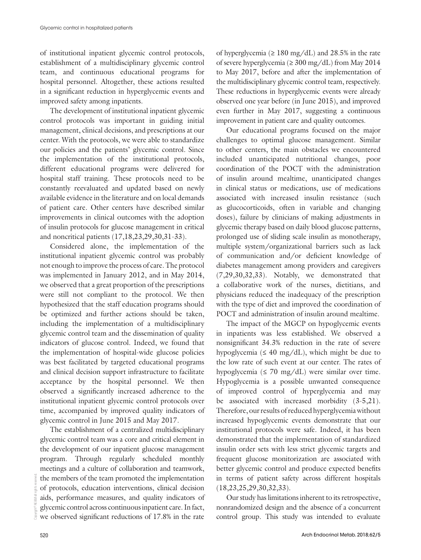of institutional inpatient glycemic control protocols, establishment of a multidisciplinary glycemic control team, and continuous educational programs for hospital personnel. Altogether, these actions resulted in a significant reduction in hyperglycemic events and improved safety among inpatients.

The development of institutional inpatient glycemic control protocols was important in guiding initial management, clinical decisions, and prescriptions at our center. With the protocols, we were able to standardize our policies and the patients' glycemic control. Since the implementation of the institutional protocols, different educational programs were delivered for hospital staff training. These protocols need to be constantly reevaluated and updated based on newly available evidence in the literature and on local demands of patient care. Other centers have described similar improvements in clinical outcomes with the adoption of insulin protocols for glucose management in critical and noncritical patients (17,18,23,29,30,31-33).

Considered alone, the implementation of the institutional inpatient glycemic control was probably not enough to improve the process of care. The protocol was implemented in January 2012, and in May 2014, we observed that a great proportion of the prescriptions were still not compliant to the protocol. We then hypothesized that the staff education programs should be optimized and further actions should be taken, including the implementation of a multidisciplinary glycemic control team and the dissemination of quality indicators of glucose control. Indeed, we found that the implementation of hospital-wide glucose policies was best facilitated by targeted educational programs and clinical decision support infrastructure to facilitate acceptance by the hospital personnel. We then observed a significantly increased adherence to the institutional inpatient glycemic control protocols over time, accompanied by improved quality indicators of glycemic control in June 2015 and May 2017.

The establishment of a centralized multidisciplinary glycemic control team was a core and critical element in the development of our inpatient glucose management program. Through regularly scheduled monthly meetings and a culture of collaboration and teamwork, the members of the team promoted the implementation of protocols, education interventions, clinical decision aids, performance measures, and quality indicators of glycemic control across continuous inpatient care. In fact, we observed significant reductions of 17.8% in the rate

of hyperglycemia ( $\geq 180$  mg/dL) and 28.5% in the rate of severe hyperglycemia ( $\geq$  300 mg/dL) from May 2014 to May 2017, before and after the implementation of the multidisciplinary glycemic control team, respectively. These reductions in hyperglycemic events were already observed one year before (in June 2015), and improved even further in May 2017, suggesting a continuous improvement in patient care and quality outcomes.

Our educational programs focused on the major challenges to optimal glucose management. Similar to other centers, the main obstacles we encountered included unanticipated nutritional changes, poor coordination of the POCT with the administration of insulin around mealtime, unanticipated changes in clinical status or medications, use of medications associated with increased insulin resistance (such as glucocorticoids, often in variable and changing doses), failure by clinicians of making adjustments in glycemic therapy based on daily blood glucose patterns, prolonged use of sliding scale insulin as monotherapy, multiple system/organizational barriers such as lack of communication and/or deficient knowledge of diabetes management among providers and caregivers (7,29,30,32,33). Notably, we demonstrated that a collaborative work of the nurses, dietitians, and physicians reduced the inadequacy of the prescription with the type of diet and improved the coordination of POCT and administration of insulin around mealtime.

The impact of the MGCP on hypoglycemic events in inpatients was less established. We observed a nonsignificant 34.3% reduction in the rate of severe hypoglycemia ( $\leq 40$  mg/dL), which might be due to the low rate of such event at our center. The rates of hypoglycemia ( $\leq$  70 mg/dL) were similar over time. Hypoglycemia is a possible unwanted consequence of improved control of hyperglycemia and may be associated with increased morbidity  $(3-5,21)$ . Therefore, our results of reduced hyperglycemia without increased hypoglycemic events demonstrate that our institutional protocols were safe. Indeed, it has been demonstrated that the implementation of standardized insulin order sets with less strict glycemic targets and frequent glucose monitorization are associated with better glycemic control and produce expected benefits in terms of patient safety across different hospitals (18,23,25,29,30,32,33).

Our study has limitations inherent to its retrospective, nonrandomized design and the absence of a concurrent control group. This study was intended to evaluate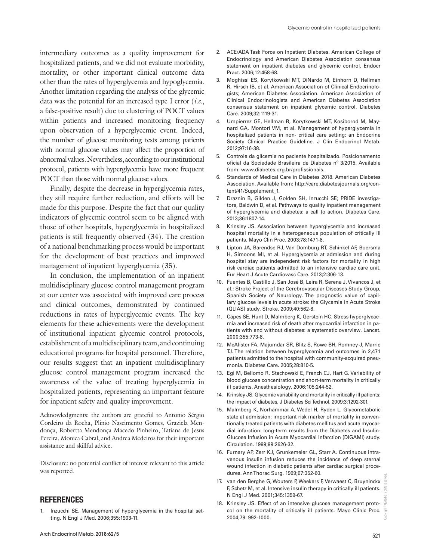intermediary outcomes as a quality improvement for hospitalized patients, and we did not evaluate morbidity, mortality, or other important clinical outcome data other than the rates of hyperglycemia and hypoglycemia. Another limitation regarding the analysis of the glycemic data was the potential for an increased type I error (*i.e.*, a false-positive result) due to clustering of POCT values within patients and increased monitoring frequency upon observation of a hyperglycemic event. Indeed, the number of glucose monitoring tests among patients with normal glucose values may affect the proportion of abnormal values. Nevertheless, according to our institutional protocol, patients with hyperglycemia have more frequent POCT than those with normal glucose values.

Finally, despite the decrease in hyperglycemia rates, they still require further reduction, and efforts will be made for this purpose. Despite the fact that our quality indicators of glycemic control seem to be aligned with those of other hospitals, hyperglycemia in hospitalized patients is still frequently observed (34). The creation of a national benchmarking process would be important for the development of best practices and improved management of inpatient hyperglycemia (35).

In conclusion, the implementation of an inpatient multidisciplinary glucose control management program at our center was associated with improved care process and clinical outcomes, demonstrated by continued reductions in rates of hyperglycemic events. The key elements for these achievements were the development of institutional inpatient glycemic control protocols, establishment of a multidisciplinary team, and continuing educational programs for hospital personnel. Therefore, our results suggest that an inpatient multidisciplinary glucose control management program increased the awareness of the value of treating hyperglycemia in hospitalized patients, representing an important feature for inpatient safety and quality improvement.

Acknowledgments: the authors are grateful to Antonio Sérgio Cordeiro da Rocha, Plinio Nascimento Gomes, Graziela Mendonça, Robertta Mendonça Macedo Pinheiro, Tatiana de Jesus Pereira, Monica Cabral, and Andrea Medeiros for their important assistance and skillful advice.

Disclosure: no potential conflict of interest relevant to this article was reported.

#### **REFERENCES**

Inzucchi SE. Management of hyperglycemia in the hospital setting. N Engl J Med. 2006;355:1903-11.

- 2. ACE/ADA Task Force on Inpatient Diabetes. American College of Endocrinology and American Diabetes Association consensus statement on inpatient diabetes and glycemic control. Endocr Pract. 2006;12:458-68.
- 3. Moghissi ES, Korytkowski MT, DiNardo M, Einhorn D, Hellman R, Hirsch IB, et al. American Association of Clinical Endocrinologists; American Diabetes Association. American Association of Clinical Endocrinologists and American Diabetes Association consensus statement on inpatient glycemic control. Diabetes Care. 2009;32:1119-31.
- 4. Umpierrez GE, Hellman R, Korytkowski MT, Kosiborod M, Maynard GA, Montori VM, et al. Management of hyperglycemia in hospitalized patients in non- critical care setting: an Endocrine Society Clinical Practice Guideline. J Clin Endocrinol Metab. 2012;97:16-38.
- 5. Controle da glicemia no paciente hospitalizado. Posicionamento oficial da Sociedade Brasileira de Diabetes nº 3/2015. Available from: www.diabetes.org.br/profissionais.
- 6. Standards of Medical Care in Diabetes 2018. American Diabetes Association. Available from: http://care.diabetesjournals.org/content/41/Supplement\_1.
- 7. Draznin B, Gilden J, Golden SH, Inzucchi SE; PRIDE investigators, Baldwin D, et al. Pathways to quality inpatient management of hyperglycemia and diabetes: a call to action. Diabetes Care. 2013;36:1807-14.
- 8. Krinsley JS. Association between hyperglycemia and increased hospital mortality in a heterogeneous population of critically ill patients. Mayo Clin Proc. 2003;78:1471-8.
- 9. Lipton JA, Barendse RJ, Van Domburg RT, Schinkel AF, Boersma H, Simoons MI, et al. Hyperglycemia at admission and during hospital stay are independent risk factors for mortality in high risk cardiac patients admitted to an intensive cardiac care unit. Eur Heart J Acute Cardiovasc Care. 2013;2:306-13.
- 10. Fuentes B, Castillo J, San José B, Leira R, Serena J, Vivancos J, et al.; Stroke Project of the Cerebrovascular Diseases Study Group, Spanish Society of Neurology. The prognostic value of capillary glucose levels in acute stroke: the Glycemia in Acute Stroke (GLIAS) study. Stroke. 2009;40:562-8.
- 11. Capes SE, Hunt D, Malmberg K, Gerstein HC. Stress hyperglycaemia and increased risk of death after myocardial infarction in patients with and without diabetes: a systematic overview. Lancet. 2000;355:773-8.
- 12. McAlister FA, Majumdar SR, Blitz S, Rowe BH, Romney J, Marrie TJ. The relation between hyperglycemia and outcomes in 2,471 patients admitted to the hospital with community-acquired pneumonia. Diabetes Care. 2005;28:810-5.
- 13. Egi M, Bellomo R, Stachowski E, French CJ, Hart G. Variability of blood glucose concentration and short-term mortality in critically ill patients. Anesthesiology. 2006;105:244-52.
- 14. Krinsley JS. Glycemic variability and mortality in critically ill patients: the impact of diabetes. J Diabetes Sci Technol. 2009;3:1292-301.
- 15. Malmberg K, Norhammar A, Wedel H, Ryden L. Glycometabolic state at admission: important risk marker of mortality in conventionally treated patients with diabetes mellitus and acute myocardial infarction: long-term results from the Diabetes and Insulin-Glucose Infusion in Acute Myocardial Infarction (DIGAMI) study. Circulation. 1999;99:2626-32.
- 16. Furnary AP, Zerr KJ, Grunkemeier GL, Starr A. Continuous intravenous insulin infusion reduces the incidence of deep sternal wound infection in diabetic patients after cardiac surgical procedures. Ann Thorac Surg. 1999;67:352-60.
- 17. van den Berghe G, Wouters P, Weekers F, Verwaest C, Bruyninckx F, Schetz M, et al. Intensive insulin therapy in critically ill patients. N Engl J Med. 2001;345:1359-67.
- 18. Krinsley JS. Effect of an intensive glucose management protocol on the mortality of critically ill patients. Mayo Clinic Proc. 2004;79: 992-1000.